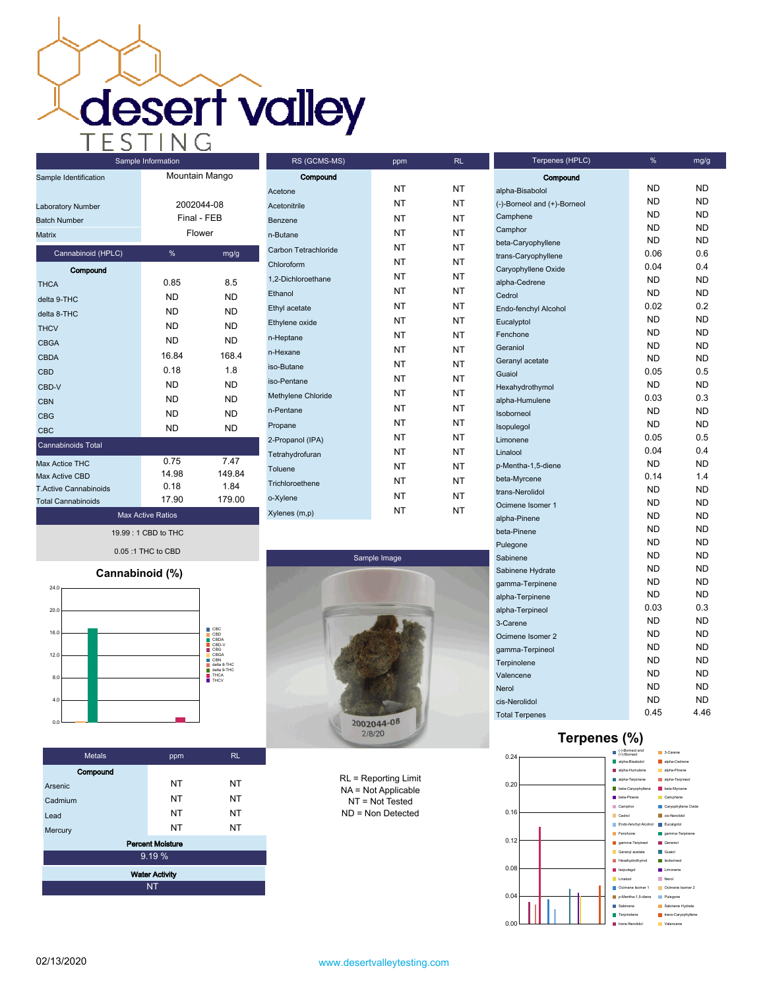**desert valley** 

| Sample Identification                                     | Mountain Mango                      |           |
|-----------------------------------------------------------|-------------------------------------|-----------|
| Laboratory Number<br><b>Batch Number</b><br><b>Matrix</b> | 2002044-08<br>Final - FEB<br>Flower |           |
| Cannabinoid (HPLC)                                        | %                                   | mg/g      |
| Compound                                                  |                                     |           |
| <b>THCA</b>                                               | 0.85                                | 8.5       |
| delta 9-THC                                               | <b>ND</b>                           | <b>ND</b> |
| delta 8-THC                                               | ND.                                 | ND.       |
| <b>THCV</b>                                               | ND.                                 | ND.       |
| <b>CBGA</b>                                               | <b>ND</b>                           | <b>ND</b> |
| CBDA                                                      | 16.84                               | 168.4     |
| <b>CBD</b>                                                | 0.18                                | 1.8       |
| CBD-V                                                     | <b>ND</b>                           | <b>ND</b> |
| <b>CBN</b>                                                | ND.                                 | ND        |
| CBG                                                       | ND.                                 | <b>ND</b> |
| <b>CBC</b>                                                | <b>ND</b>                           | <b>ND</b> |
| <b>Cannabinoids Total</b>                                 |                                     |           |
| Max Actice THC                                            | 0.75                                | 7.47      |
| Max Active CBD                                            | 14.98                               | 149.84    |
| <b>T.Active Cannabinoids</b>                              | 0.18                                | 1.84      |
| <b>Total Cannabinoids</b>                                 | 17.90                               | 179.00    |
| <b>Max Active Ratios</b>                                  |                                     |           |

Sample Information

| RS (GCMS-MS)         | ppm       | <b>RL</b> |
|----------------------|-----------|-----------|
| Compound             |           |           |
| Acetone              | NT        | NT        |
| Acetonitrile         | NT        | NT        |
| Benzene              | NT        | NT        |
| n-Butane             | NT        | NT        |
| Carbon Tetrachloride | NT        | <b>NT</b> |
| Chloroform           | NT        | NT        |
| 1.2-Dichloroethane   | NT        | NT        |
| Ethanol              | NT        | NT        |
| Ethyl acetate        | <b>NT</b> | NT        |
| Ethylene oxide       | <b>NT</b> | NT        |
| n-Heptane            | NT        | NT        |
| n-Hexane             | NT        | NT        |
| iso-Butane           | NT        | NT        |
| iso-Pentane          | NT        | NT        |
| Methylene Chloride   | <b>NT</b> | NT        |
| n-Pentane            | NT        | NT        |
| Propane              | NT        | NT        |
| 2-Propanol (IPA)     | NT        | NT        |
| Tetrahydrofuran      | NT        | NT        |
| Toluene              | NT        | NT        |
| Trichloroethene      | NT        | NT        |
| o-Xylene             | NT        | NT        |
| Xylenes (m,p)        | NT        | NΤ        |

19.99 : 1 CBD to THC 0.05 :1 THC to CBD

## **Cannabinoid (%)**



| <b>Metals</b> | ppm                     | RL.       |
|---------------|-------------------------|-----------|
| Compound      |                         |           |
| Arsenic       | <b>NT</b>               | NT        |
| Cadmium       | <b>NT</b>               | <b>NT</b> |
| Lead          | <b>NT</b>               | <b>NT</b> |
| Mercury       | <b>NT</b>               | <b>NT</b> |
|               | <b>Percent Moisture</b> |           |
|               | 9.19%                   |           |
|               | <b>Water Activity</b>   |           |
|               | <b>NT</b>               |           |



RL = Reporting Limit NA = Not Applicable NT = Not Tested ND = Non Detected

| Terpenes (HPLC)             | %         | mg/g      |
|-----------------------------|-----------|-----------|
| Compound                    |           |           |
| alpha-Bisabolol             | ND        | ND        |
| (-)-Borneol and (+)-Borneol | ND        | ND.       |
| Camphene                    | <b>ND</b> | ND        |
| Camphor                     | <b>ND</b> | ND        |
| beta-Caryophyllene          | ND        | ND        |
| trans-Caryophyllene         | 0.06      | 0.6       |
| Caryophyllene Oxide         | 0.04      | 0.4       |
| alpha-Cedrene               | <b>ND</b> | ND        |
| Cedrol                      | <b>ND</b> | ND        |
| Endo-fenchyl Alcohol        | 0.02      | 0.2       |
| Eucalyptol                  | <b>ND</b> | <b>ND</b> |
| Fenchone                    | <b>ND</b> | <b>ND</b> |
| Geraniol                    | <b>ND</b> | ND        |
| Geranyl acetate             | ND.       | <b>ND</b> |
| Guaiol                      | 0.05      | 0.5       |
| Hexahydrothymol             | ND.       | <b>ND</b> |
| alpha-Humulene              | 0.03      | 0.3       |
| Isoborneol                  | ND.       | ND        |
| Isopulegol                  | ND.       | <b>ND</b> |
| Limonene                    | 0.05      | 0.5       |
| Linalool                    | 0.04      | 0.4       |
| p-Mentha-1,5-diene          | ND.       | <b>ND</b> |
| beta-Myrcene                | 0.14      | 1.4       |
| trans-Nerolidol             | <b>ND</b> | <b>ND</b> |
| Ocimene Isomer 1            | ND.       | <b>ND</b> |
| alpha-Pinene                | <b>ND</b> | <b>ND</b> |
| beta-Pinene                 | <b>ND</b> | <b>ND</b> |
| Pulegone                    | <b>ND</b> | <b>ND</b> |
| Sabinene                    | <b>ND</b> | <b>ND</b> |
| Sabinene Hydrate            | <b>ND</b> | <b>ND</b> |
| gamma-Terpinene             | <b>ND</b> | <b>ND</b> |
| alpha-Terpinene             | <b>ND</b> | <b>ND</b> |
| alpha-Terpineol             | 0.03      | 0.3       |
| 3-Carene                    | <b>ND</b> | <b>ND</b> |
| Ocimene Isomer 2            | <b>ND</b> | <b>ND</b> |
| gamma-Terpineol             | <b>ND</b> | <b>ND</b> |
| Terpinolene                 | <b>ND</b> | <b>ND</b> |
| Valencene                   | <b>ND</b> | <b>ND</b> |
| Nerol                       | <b>ND</b> | <b>ND</b> |
| cis-Nerolidol               | <b>ND</b> | <b>ND</b> |
| <b>Total Terpenes</b>       | 0.45      | 4.46      |

## **Terpenes (%)**